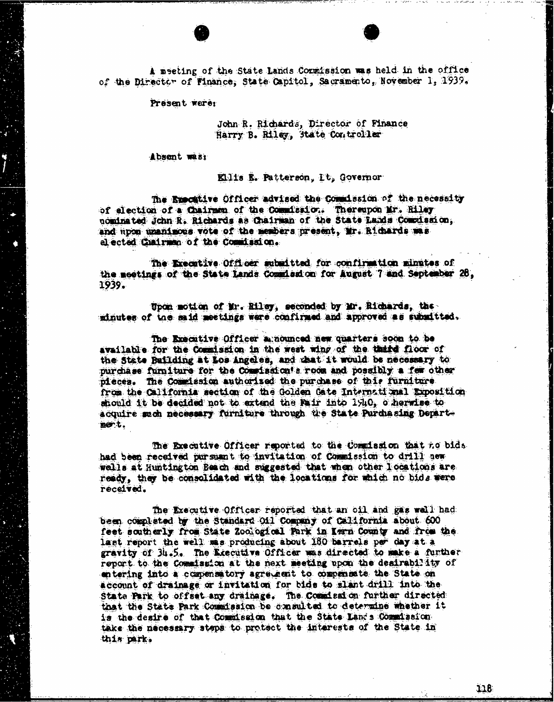A meeting of the State Lands Commission was held in the office<br>of the Director of Finance, State Capitol, Sacramento, November 1, 1939.

Present were:

John R. Richards, Director of Finance Harry B. Riley, State Controller

Absent wast

Ellis E. Patterson, It, Governor

The Executive Officer advised the Commission of the necessity<br>of election of a Chairman of the Commission. Thereupon Mr. Riley nominated John R. Richards as Chairman of the State Lands Comedsaion; and hipon unanimous vote of the members present, Mr. Richards mas elected Chairman of the Commission.

The Executive Officer submitted for confirmation minutes of the meetings of the State Lands Commlaidon for August 7 and September 28, 1939.

Upon motion of Mr. Riley, seconded by Mr. Richards, the minutes of the said meetings were confirmed and approved as submitted.

The Executive Officer minounced new quarters soon to be available for the Commission in the west wing of the third floor of the State Building at Los Angeles, and that it would be necessary to purchase furniture for the Commission's room and possibly a few other pieces. The Commission authorized the purchase of this furniture from the California section of the Golden Gate International Exposition should it be decided not to extend the mair into 1940, otherwise to acquire sach necessary furniture through the State Purchasing Department.

The Executive Officer reported to the Commission that no bids had been received pursuant to invitation of Commission to drill new wells at Huntington Beach and suggested that when other locations are ready, they be consolidated with the locations for which no bids were received.

The Executive Officer reported that an oil and gas wall had been completed by the Standard Oil Company of California about. 600 feet southerly from State Zoological Park in Kern County and from the last report the well mas producing about 180 barrels per day at a gravity of 34.5. The Executive Officer was directed to make a further report to the Commission at the next meeting upon the desirability of entering into a compensatory agreement to compensate the State on account of drainage or invitation for bids to slant drill into the State Park to offset any drainage. The Comdead on further directed that the State Park Commission be consulted to determine whether it is the desire of that Commission that the State Lands Commission take the necessary steps to protect the interests of the State in this park.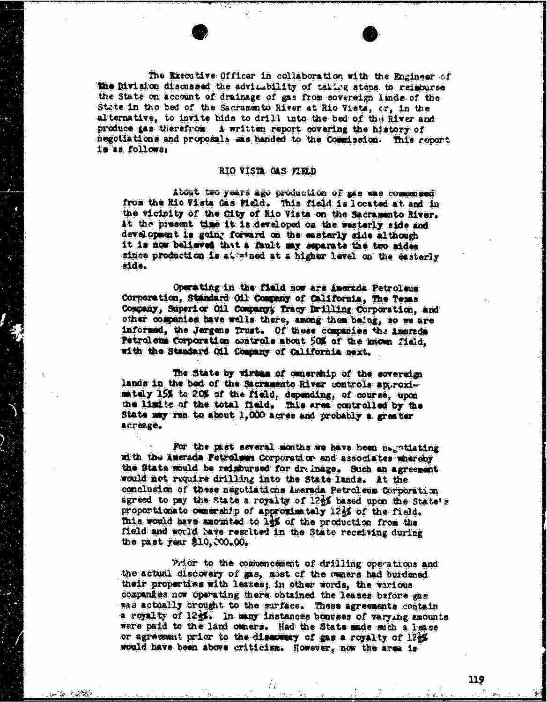The Executive Officer in collaboration with the Engineer of the Division discussed the advisability of taking steps to reimburse the State on account of drainage of gas from sovereign linds of the State in the bed of the Sacramento River at Rio Vista, cr, in the alternative, to invite bids to drill into the bed of the River and produce gas therefrom A written report covering the history of negotiations and proposals was handed to the Commission. This report is as follows:

## RIO VISTA GAS FIELD

About two years ago production of maa was cominged from the Rio Vista Gas Field. This field is located at, and in the vicinity of the City of Rio Vista on the Sacramento River. At the present time it is developed on the westerly side and development is going forward on the easterly side although it is now believes that a fault my seperate the to addes since production is at aimed at a higher level on the easterly side.

Operating in the field now are amorede Petroleum Corporation, Standard Oil Company of California, The Tems Company, Superior Oil Companyy Tracy Drilling Corporation, and other companies have wells there, among them being, so we are informed, the Jergens Trust. Of these companies the Amereda Petroleum Corporation controls about 50% of the known field. with the Standard Oil Company of California next.

The State by viring of omnership of the soveredge lands in the bed of the Sacramento River controls approximataly 15% to 20% of the field, depending, of course, upca the limits of the total field. This ares controlled by the State may run to about 1,000 acres and probably a greater acreage.

For the past several months we have been negotiating ad th the Arerada Petroleum Corporation and associates whereby the State would be redmonsed for drainage. Such an agreement would not require drilling into the State lands. At the conclusion of those negotiations Awerada Petroleum Corporation agreed to pay the State a royalty of 1254 based upon the State's proportionate ownership of approximately 12%% of the field. This would have amounted to 19% of the production from the field and would have resulted in the State receiving during the past year \$10, 300.00,

Prior to the commencement of drilling operations and the actual discovery of zis, mist of the owners had burdened their properties with leases; in other words, the various companies now operating there obtained the leases before gas mas actually brought to the surface. These agreements contain a royalty of 1251. In many instances bonuses of varying amounts were paid to the land comers. Had the State made such a lease or agreement prior to the discovery of gas a royalty of 125% would have been above criticism. However, now the area is

70. PO 22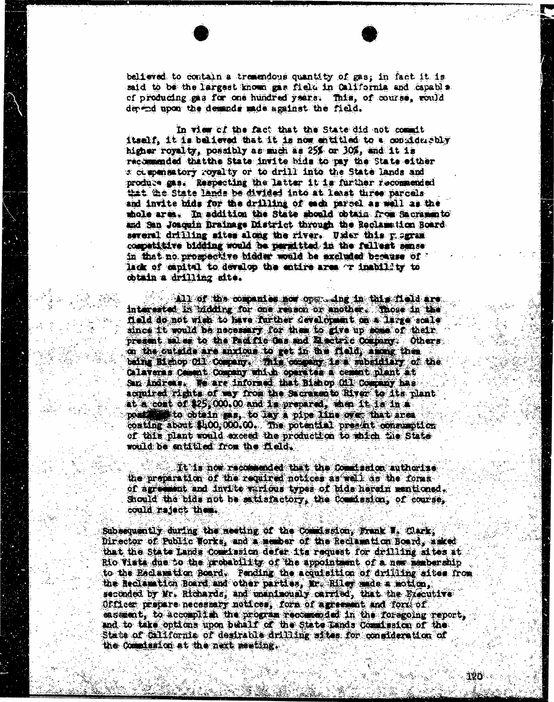believed to contain a tremendous quantity of gas; in fact it is said to be the largest known gas field in California and capabla of producing gas for one hundred years. This, of course, could depend upon the demands made against the field.

In view of the fact that the State did not commit itself, it is believed that it is now entitled to a considerably higher royalty, possibly as much as 25% or 30%, and it is ricowarded thatthe State invite bids to pay the State either 2 ct penstory royalty or to drill into the State lands and produce gas. Respecting the latter it is further recommended that the State lands be divided into at least three parcels and invite bids for the drilling of each parsel as well as the whole arm. In addition the State sboold obtain from Sacramento and San Joaquin Drainage District through the Reclamation Board several drilling sites along the river. Under this pagram competitive bidding would be permitted in the fellest sense in that no prospective bidder wald be excluded because of " lack of capital to develop the entire area or inability to obtain a drilling site.

All of the companies now oper Ing in this flold are. interested in bidding for one reason or another. Those in the fold do not wish to have farther development on a large scale since it would be necessary for them to give up some of their. present sales to the Pad flo Gas and Aretric Company: , Others on the outside are anxious to get in the field, fong then being Bichop all company. This company is a subsidiary of the Calaveras Company which operates a cement plant at San Andreas. We are informed that Bishop Oil Company has acquired rights of my from the Sacramento River to its plant at a coat of [\\$25,000.00](https://25,000.00) and is prepared, when it is in a we to obtain ras, to lay a pipe line over that ares costing about \$400, DOO. The potential present consumption of this plant would exceed the production to which the State would be entitled from the field.

It is now recommended that the comdeaton authorize the preparation of the required notices as well as the forms of agreement and invite various types of bids herein mentioned. should the bids not be satisfactory, the Commission; of course, could reject them.

Subsequently during the meeting of the Commission, Frank ", Quark, Director of Public Works, and A member of the Reclamation Board, asked that the State Lands Commission defer its request for drilling aites it Rio Vista due to the probability of the appointment of a new membership to the Reclamation Board. Pending the acquisition of drilling sites from the Reclamation Board and other partion, for. Riley made a motion, seconded by Mr. Richards, and unanimously carried, that the Executive Officer prepare necessary notices, form of agreement and ford of easement, to accomplish the program recommended in the foregoing report. and to take options upon behalf of the State Lands Consission of the State of California of desirable drilling sites for consideration of the Countaston at the meat meeting.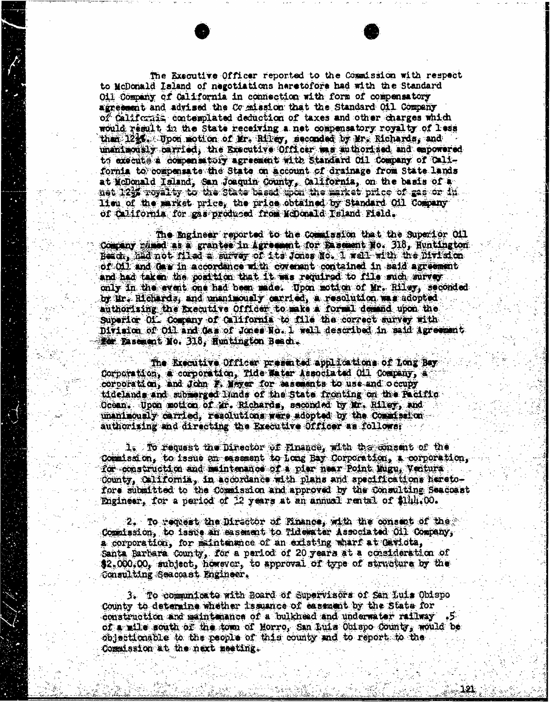The Executive Officer reported to the Commission with respect to McDonald Island of negotiations haretofore had with the Standard Oil Company of California in connection with form of compensatory agreement and advised the Co mission that the Standard Oil Company of California contemplated deduction of taxes and other charges which would result in the State receiving a net compensatory royalty of less than 12<sup>1</sup>6. Upon motion of Mr. Rilley, seconded by Mr. Richards, and unanimously carried; the Executive Officer ing authorized and empowered to execute a compensatory agreement with Standard Oil Company of california to compensate the State on account of drainage from State lands at McDonald Taland, San Joaquin County, California, on the basis of a net 123 royalty to the state based toon the market piles of gas or fi lieu of the market price, the price obtained by Standard Oil Company of California for gas produced from McDonald Island Field.

The Engineer reported to the commission that the Superior oil Company wimed as a grantee in Agreement for Basement No. 318, Huntington Bead, had not filed a survey of its Jones Bo. I wall with the Division of Oil and daw in accordance with covenant contained in said agreement and had taken the position that it was required to file such survey. only in the evenit one had been made. Upon motion of Mr. Riley, seconded by Ur. Richards, and unanimously carried, a resolution was adopted: authorising the Executive Officer to make a formal domand upon the Superior Of Company of California to file the correct survey with Division of Oil and des of Jones No. 1 well described in said Agreement for Easement No. 318, Huntington Beach.

The Executive Officer presented applications of Long Bay Corporation, # corporation, Tide Water Associated Oil Company, a corporation, and John F. Waver for basements to use and occupy tidelands and submerged linds of the State fronting on the Pacific Ocean. . Upon motion of air. Richards, seconded by Mr. Riley, And unanimously carried, resolutions ware adopted by the Commission authorizing and directing the Executive Officer as follower

is To request the Director of Finance, with the consent of the Commisid on, to issue an essamant to Long Bay Corporation, & corporation, for construction and maintenance of a pier near Point Mugu, Veatura County, California, in accordance with plans and specifications heretofors submitted to the Commission and approved by the Consulting Seacoast Engineer, for a period of 22 years at an annual rental of \$144.00.

2. To request the Director of Finance, with the consent of the Commission, to issue an easement, to Tidewater Associated Oil Company, a corporation, for mintenance of an existing wharf at Gaviota, Santa Barbara County, for a period of 20 years at a consideration of \$2.000,00, subject, however, to approval of type of structure by the Consulting Seacoast Engineer.

3. To communicate with Board of Supervisors of San Luis Obispo County to determine whether issuance of casement by the State for construction and maintenance of a bulkhead and underwater railway .5. of a wild south of the tom of Morro, San Luis Obispo County, would be objectionable to the people of this county and to report to the Commission at the next meeting.

737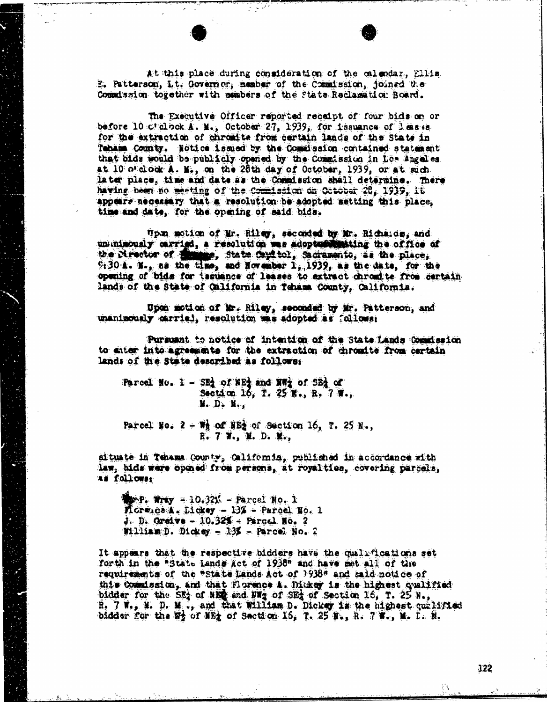At this place during consideration of the calendar, Ellis E. Patterson, It. Governor, member of the Commission, joined the Commission together with members of the State Reclamation Board.

The Executive Officer reported receipt of four bids on or before 10 c' clock. A. M., October 27, 1939, for tasuance of leases for the extraction of chromite from certain lands of the State in Tehama County. Notice issued by the Comilsaica contained statement that bids would be publicly opened by the Commission in Los Angeles. at  $10$  o'clock  $A$ . M., on the 28th day of October, 1939, or at sich. later place, time and date as the Commission shall determine. There having been no meeting of the Commission on October 20, 1939, it appears necessary that a resolution be adopted setting this place, time and date, for the opming of said bids.

"pon motion of Mr. Riley, seconded by Mor. Richards, and unimously carried, a resolution was adopture the office of the Mrector of State, State Cayf tol, Sacramento, as the place;  $9130$  A. N., as the time, and November  $1, 1939$ , as the date, for the opening of bids for issuance of leases to extract chromite from certain lands of the State of California in Teham County, California.

Upon motion of Mr. Riley, seconded by Mr. Patterson, and unanimously carried, resolution mas adopted as follows:

Pursuant to notice of intention of the State Lands Comidasion to enter into agreements for the extraction of chromite from certain lands of the State described as follows:

Parcel No.  $1 - SB$  of WE<sub>2</sub> and W<sub>3</sub> of SE<sub>2</sub> of  $\cdots$  Section 16, T. 25 K., R. 7 W., M. D. M., Parcel No.  $2 + W_1$  of NB) of Section 16, T. 25 N.,<br>R. 7 W., M. D. M.,

situate in Tenama County, California, published in accordance with law, bids were opened from persons, at royalties, covering parcels, as followss

 $T_{\text{max}} = 10.321 - \text{Pared No. } 1$  $M$ ore ca $A$ . Dickey -  $13\%$  - Parcel Mo. 1 J. D. Greave - 10.32% = Parcel. No. 2 william D. Dickey - 13% - Parcel No. 2

It appears that the respective bidders have the qualifications set forth in the "State Lands Act of 1938" and have met all of the requirements of the "state Lands Act of 1938" and said notice of this Coand ssion, and that Florence A. Dickey is the highest qualified bidder for the SEA of NER and NW of SEA of Section 16, T. 25 N., R. 7 W., M. D. M ., and that William D. Dickey is the highest qualified bidder for the  $\frac{m_1}{m_2}$  of NEt of Section 16, T. 25 N., R. 7 W., M. D. M.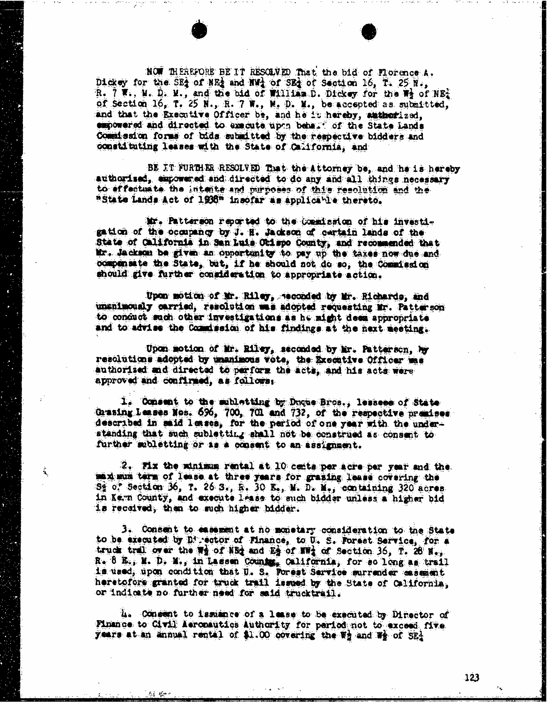NOW THEREFORE BE IT RESOLVED That the bid of Florence A. Dickey for the SEA of NEA and HWA of SEA of Section 16, T. 25  $N$ ., R.  $7 \nabla$ . W. D. M., and the bid of William D. Dickey for the  $\mathbb{F}_2$  of NE. of Section 16, T. 25 N., R. 7 W., M. D. M., be accepted as submitted, and that the Executive Officer be, and he it hereby, authorized, empowered and directed to execute upon behalf of the State Lands Commission forms of bida submitted by the respective bidders and constituting leases with the State of California, and

BE JT FURTHER RESOLVED That the Attorney be, and he is hereby authorised, empowered and directed to do any and all things necessary to effectuate the intente and purposes of this resolution and the #State Lands Act of 1938" insofar as applicable thereto.

Mr. Patterson reported to the Commission of bis investigation of the occupancy by J. H. Jackson of curtain lands of the State of California in San Luis Obispo County, and recommended that Mr. Jackson be given an opportunity to pay up the taxes now due and compensate the State, but, if he should not do so, the Commission should give further consideration to appropriate action.

Upon motion of Mr. Riley, recorded by Mr. Richards, and unanimously carried, resolution was adopted requesting Mr. Patterson to conduct each other investigations is he might deem appropriate and to advise the Commission of his findings at the next meeting.

Upon motion of Mr. Riley, seconded by Mir. Patterson, by resolutions adopted by unanimous vote, the Executive Officer as authorised and directed to perform the acts, and his acts were approved and confirmed, as follows;

i, Consent to the subletting by Duque Bros., lessees of State Grasing Leases Nos. 696, 700, 701 and 732, of the respective premises described in said leases, for the period of one year with the understanding that such subletting shall not be construed as consent to further subletting or is a consent to an assignment.

2. Fix the minimum rental at 10 cents per acre per year and the ed mimi term of lease at three years for grasing lease covering the  $S_2$  of Section 36, T. 26 S., R. 30 E., M. D. M., containing 320 acres. in Kern County, and execute lease to such bidder unless a higher bid is received, then to much higher bidder.

3. Consent to easement at no monetary consideration to the State to be executed by Director of Finance, to U. S. Forest Service, for a truck trall over the  $\frac{1}{2}$  of NEt and Es of NWt of Section 36, T. 28' N.; R. 8 E., M. D. M., in Lassen Counter, California, for so long as trail is used, upon condition that U. S. Forest Service surrender easement heretofore granted for truck trail issued by the State of California, or indicate no further need for said trucktrail.

4. Consent to lamiance of a lease to be executed by Director of Finance to Civil Aeronautics Authority for pariod not to exceed five years at an annual rental of \$1.00 covering the Wa and Wa of SEA

天主 越山